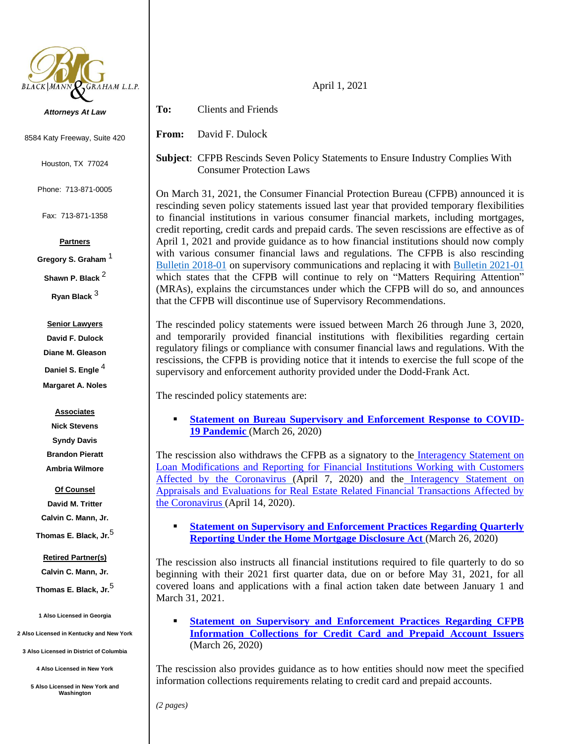

*Attorneys At Law*

8584 Katy Freeway, Suite 420

Houston, TX 77024

Phone: 713-871-0005

Fax: 713-871-1358

### **Partners**

**Gregory S. Graham** <sup>1</sup>

**Shawn P. Black** <sup>2</sup>

**Ryan Black** <sup>3</sup>

#### **Senior Lawyers**

**David F. Dulock Diane M. Gleason Daniel S. Engle** <sup>4</sup>

**Margaret A. Noles**

#### **Associates**

**Nick Stevens Syndy Davis Brandon Pieratt Ambria Wilmore**

**Of Counsel**

**David M. Tritter Calvin C. Mann, Jr.**

# **Thomas E. Black, Jr.**<sup>5</sup>

## **Retired Partner(s)**

**Calvin C. Mann, Jr.**

**Thomas E. Black, Jr.**<sup>5</sup>

**1 Also Licensed in Georgia**

**2 Also Licensed in Kentucky and New York**

**3 Also Licensed in District of Columbia**

**4 Also Licensed in New York**

**5 Also Licensed in New York and Washington**

**To:** Clients and Friends

**From:** David F. Dulock

**Subject**: CFPB Rescinds Seven Policy Statements to Ensure Industry Complies With Consumer Protection Laws

On March 31, 2021, the Consumer Financial Protection Bureau (CFPB) announced it is rescinding seven policy statements issued last year that provided temporary flexibilities to financial institutions in various consumer financial markets, including mortgages, credit reporting, credit cards and prepaid cards. The seven rescissions are effective as of April 1, 2021 and provide guidance as to how financial institutions should now comply with various consumer financial laws and regulations. The CFPB is also rescinding Bulletin [2018-01](https://www.consumerfinance.gov/documents/6848/bcfp_bulletin-2018-01_changes-to-supervisory-communications.pdf) on supervisory communications and replacing it with [Bulletin 2021-01](https://www.consumerfinance.gov/documents/9598/cfpb_bulletin_2021-01_changes-to-types-of-supervisory-communications_2021-03.pdf) which states that the CFPB will continue to rely on "Matters Requiring Attention" (MRAs), explains the circumstances under which the CFPB will do so, and announces that the CFPB will discontinue use of Supervisory Recommendations.

The rescinded policy statements were issued between March 26 through June 3, 2020, and temporarily provided financial institutions with flexibilities regarding certain regulatory filings or compliance with consumer financial laws and regulations. With the rescissions, the CFPB is providing notice that it intends to exercise the full scope of the supervisory and enforcement authority provided under the Dodd-Frank Act.

The rescinded policy statements are:

▪ **[Statement on Bureau Supervisory and Enforcement Response to COVID-](https://www.consumerfinance.gov/documents/9599/cfpb_final-rescission_enf-and-supervisory-response_2021-03.pdf)[19 Pandemic](https://www.consumerfinance.gov/documents/9599/cfpb_final-rescission_enf-and-supervisory-response_2021-03.pdf)** (March 26, 2020)

The rescission also withdraws the CFPB as a signatory to the [Interagency Statement on](https://www.consumerfinance.gov/documents/8708/cfpb_interagency-statement_loan-modifications-reporting-covid-19_2020-04.pdf)  [Loan Modifications and Reporting for Financial Institutions Working with Customers](https://www.consumerfinance.gov/documents/8708/cfpb_interagency-statement_loan-modifications-reporting-covid-19_2020-04.pdf)  [Affected by the Coronavirus](https://www.consumerfinance.gov/documents/8708/cfpb_interagency-statement_loan-modifications-reporting-covid-19_2020-04.pdf) (April 7, 2020) and the Interagency Statement on [Appraisals and Evaluations for Real Estate Related Financial Transactions Affected by](https://www.consumerfinance.gov/documents/8718/cfpb_interagency-statement_real-estate-transactions-covid-19.pdf)  [the Coronavirus](https://www.consumerfinance.gov/documents/8718/cfpb_interagency-statement_real-estate-transactions-covid-19.pdf) (April 14, 2020).

**<u>Statement on Supervisory and Enforcement Practices Regarding Quarterly</u> [Reporting Under the Home Mortgage Disclosure Act](https://www.consumerfinance.gov/documents/9600/cfpb_final-rescission_hmnd-qrtly-reporting-consolidated_2021-03.pdf)** (March 26, 2020)

The rescission also instructs all financial institutions required to file quarterly to do so beginning with their 2021 first quarter data, due on or before May 31, 2021, for all covered loans and applications with a final action taken date between January 1 and March 31, 2021.

**Statement on Supervisory and Enforcement Practices Regarding CFPB [Information Collections for Credit Card and Prepaid Account Issuers](https://www.consumerfinance.gov/documents/9601/cfpb_final-rescission_cc-prepaid-info-collectns-cons_2021-03.pdf)** (March 26, 2020)

The rescission also provides guidance as to how entities should now meet the specified information collections requirements relating to credit card and prepaid accounts.

*(2 pages)*

April 1, 2021